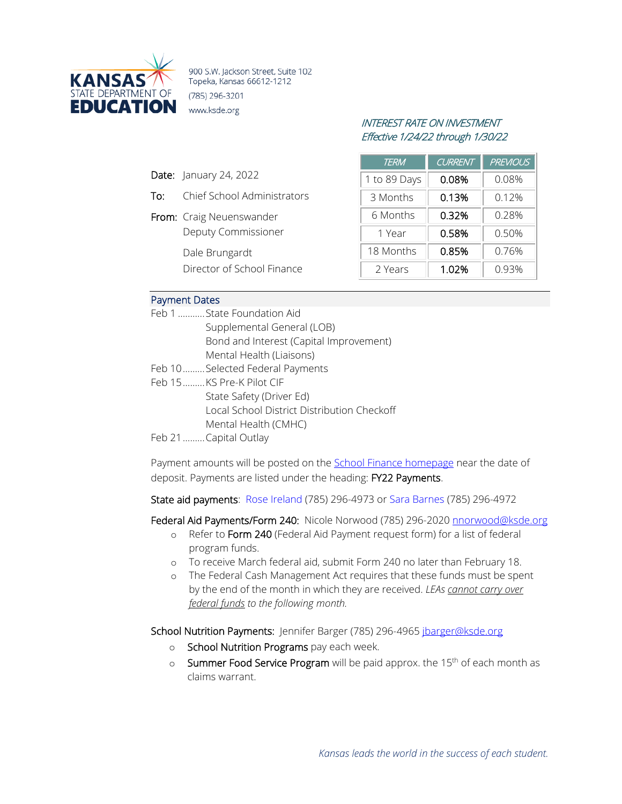

900 S.W. Jackson Street, Suite 102 Topeka, Kansas 66612-1212 (785) 296-3201 www.ksde.org

## INTEREST RATE ON INVESTMENT Effective 1/24/22 through 1/30/22

| <b>TERM</b>  | <b>CURRENT</b> | <b>PREVIOUS</b> |
|--------------|----------------|-----------------|
| 1 to 89 Days | 0.08%          | 0.08%           |
| 3 Months     | 0.13%          | 0.12%           |
| 6 Months     | 0.32%          | 0.28%           |
| 1 Year       | 0.58%          | 0.50%           |
| 18 Months    | 0.85%          | 0.76%           |
| 2 Years      | 1.02%          | 0.93%           |

## Payment Dates

Date: January 24, 2022

From: Craig Neuenswander

Dale Brungardt

To: Chief School Administrators

Deputy Commissioner

Director of School Finance

| Feb 1  State Foundation Aid                 |
|---------------------------------------------|
| Supplemental General (LOB)                  |
| Bond and Interest (Capital Improvement)     |
| Mental Health (Liaisons)                    |
| Feb 10Selected Federal Payments             |
| Feb 15KS Pre-K Pilot CIF                    |
| State Safety (Driver Ed)                    |
| Local School District Distribution Checkoff |
| Mental Health (CMHC)                        |
| Feb 21  Capital Outlay                      |

Payment amounts will be posted on the [School Finance homepage](http://www.ksde.org/Agency/Fiscal-and-Administrative-Services/School-Finance/Payment-Information) near the date of deposit. Payments are listed under the heading: FY22 Payments.

State aid payments: [Rose Ireland](mailto:rireland@ksde.org) (785) 296-4973 o[r Sara Barnes](mailto:sbarnes@ksde.org) (785) 296-4972

Federal Aid Payments/Form 240: Nicole Norwood (785) 296-2020 [nnorwood@ksde.org](mailto:nnorwood@ksde.org)

- o Refer to Form 240 (Federal Aid Payment request form) for a list of federal program funds.
- o To receive March federal aid, submit Form 240 no later than February 18.
- o The Federal Cash Management Act requires that these funds must be spent by the end of the month in which they are received. *LEAs cannot carry over federal funds to the following month.*

School Nutrition Payments: Jennifer Barger (785) 296-4965 [jbarger@ksde.org](mailto:jbarger@ksde.org)

- o School Nutrition Programs pay each week.
- $\circ$  Summer Food Service Program will be paid approx. the 15<sup>th</sup> of each month as claims warrant.